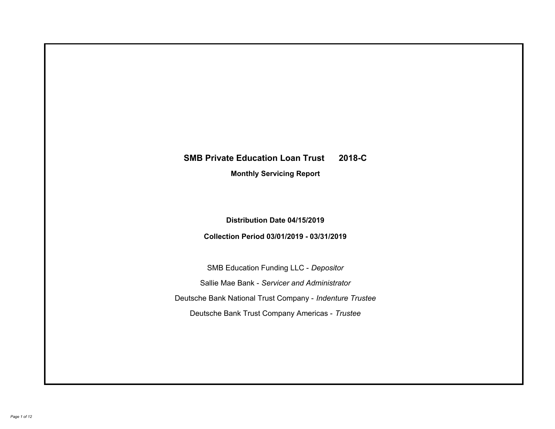# **SMB Private Education Loan Trust 2018-C Monthly Servicing Report**

## **Distribution Date 04/15/2019**

## **Collection Period 03/01/2019 - 03/31/2019**

SMB Education Funding LLC - *Depositor* Sallie Mae Bank - *Servicer and Administrator* Deutsche Bank National Trust Company - *Indenture Trustee* Deutsche Bank Trust Company Americas - *Trustee*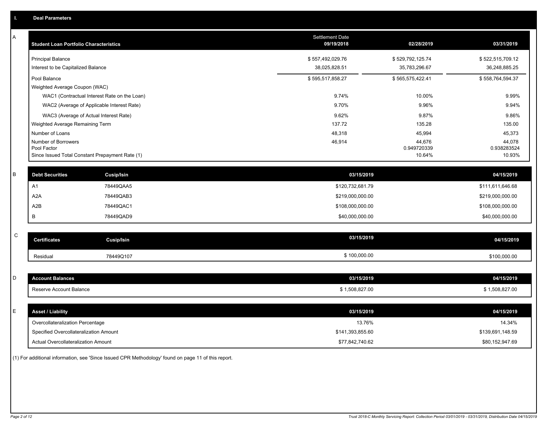| Α | <b>Student Loan Portfolio Characteristics</b>   |                                              | <b>Settlement Date</b><br>09/19/2018 | 02/28/2019            | 03/31/2019            |
|---|-------------------------------------------------|----------------------------------------------|--------------------------------------|-----------------------|-----------------------|
|   | <b>Principal Balance</b>                        |                                              | \$557,492,029.76                     | \$529,792,125.74      | \$522,515,709.12      |
|   | Interest to be Capitalized Balance              |                                              | 38,025,828.51                        | 35,783,296.67         | 36,248,885.25         |
|   | Pool Balance                                    |                                              | \$595,517,858.27                     | \$565,575,422.41      | \$558,764,594.37      |
|   | Weighted Average Coupon (WAC)                   |                                              |                                      |                       |                       |
|   |                                                 | WAC1 (Contractual Interest Rate on the Loan) | 9.74%                                | 10.00%                | 9.99%                 |
|   |                                                 | WAC2 (Average of Applicable Interest Rate)   | 9.70%                                | 9.96%                 | 9.94%                 |
|   | WAC3 (Average of Actual Interest Rate)          |                                              | 9.62%                                | 9.87%                 | 9.86%                 |
|   | Weighted Average Remaining Term                 |                                              | 137.72                               | 135.28                | 135.00                |
|   | Number of Loans                                 |                                              | 48,318                               | 45,994                | 45,373                |
|   | Number of Borrowers<br>Pool Factor              |                                              | 46,914                               | 44,676<br>0.949720339 | 44,078<br>0.938283524 |
|   | Since Issued Total Constant Prepayment Rate (1) |                                              |                                      | 10.64%                | 10.93%                |
|   |                                                 |                                              |                                      |                       |                       |
| B | <b>Debt Securities</b>                          | Cusip/Isin                                   | 03/15/2019                           |                       | 04/15/2019            |
|   | A <sub>1</sub>                                  | 78449QAA5                                    | \$120,732,681.79                     |                       | \$111,611,646.68      |
|   | A <sub>2</sub> A                                | 78449QAB3                                    | \$219,000,000.00                     |                       | \$219,000,000.00      |
|   | A <sub>2</sub> B                                | 78449QAC1                                    | \$108,000,000.00                     |                       | \$108,000,000.00      |
|   | B                                               | 78449QAD9                                    | \$40,000,000.00                      |                       | \$40,000,000.00       |
|   |                                                 |                                              |                                      |                       |                       |
| C | <b>Certificates</b>                             | <b>Cusip/Isin</b>                            | 03/15/2019                           |                       | 04/15/2019            |
|   | Residual                                        | 78449Q107                                    | \$100,000.00                         |                       | \$100,000.00          |
|   |                                                 |                                              |                                      |                       |                       |
| D | <b>Account Balances</b>                         |                                              | 03/15/2019                           |                       | 04/15/2019            |
|   | Reserve Account Balance                         |                                              | \$1,508,827.00                       |                       | \$1,508,827.00        |
|   |                                                 |                                              |                                      |                       |                       |
| Е | <b>Asset / Liability</b>                        |                                              | 03/15/2019                           |                       | 04/15/2019            |
|   | Overcollateralization Percentage                |                                              | 13.76%                               |                       | 14.34%                |
|   | Specified Overcollateralization Amount          |                                              | \$141,393,855.60                     |                       | \$139,691,148.59      |
|   | <b>Actual Overcollateralization Amount</b>      |                                              | \$77,842,740.62                      |                       | \$80,152,947.69       |

(1) For additional information, see 'Since Issued CPR Methodology' found on page 11 of this report.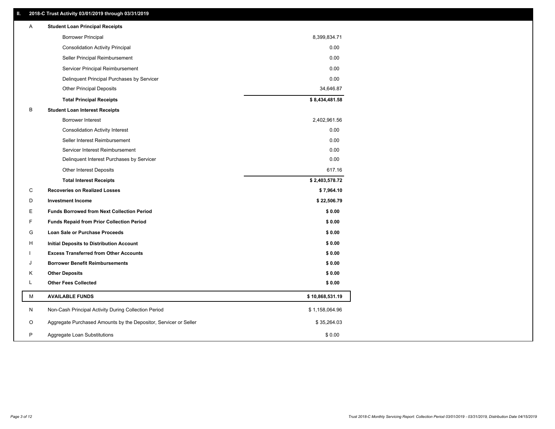### **II. 2018-C Trust Activity 03/01/2019 through 03/31/2019**

| <b>Borrower Principal</b><br>8,399,834.71<br>0.00<br><b>Consolidation Activity Principal</b><br>0.00<br>Seller Principal Reimbursement<br>0.00<br>Servicer Principal Reimbursement<br>Delinquent Principal Purchases by Servicer<br>0.00<br><b>Other Principal Deposits</b><br>34,646.87<br>\$8,434,481.58<br><b>Total Principal Receipts</b><br>В<br><b>Student Loan Interest Receipts</b><br><b>Borrower Interest</b><br>2,402,961.56<br>0.00<br><b>Consolidation Activity Interest</b><br>Seller Interest Reimbursement<br>0.00<br>Servicer Interest Reimbursement<br>0.00<br>0.00<br>Delinquent Interest Purchases by Servicer<br>617.16<br><b>Other Interest Deposits</b><br>\$2,403,578.72<br><b>Total Interest Receipts</b><br>C<br>\$7,964.10<br><b>Recoveries on Realized Losses</b><br>D<br><b>Investment Income</b><br>\$22,506.79<br>E<br>\$0.00<br><b>Funds Borrowed from Next Collection Period</b><br>F<br><b>Funds Repaid from Prior Collection Period</b><br>\$0.00<br>G<br>\$0.00<br>Loan Sale or Purchase Proceeds<br>\$0.00<br>H<br>Initial Deposits to Distribution Account<br>\$0.00<br><b>Excess Transferred from Other Accounts</b><br><b>Borrower Benefit Reimbursements</b><br>\$0.00<br>J |
|----------------------------------------------------------------------------------------------------------------------------------------------------------------------------------------------------------------------------------------------------------------------------------------------------------------------------------------------------------------------------------------------------------------------------------------------------------------------------------------------------------------------------------------------------------------------------------------------------------------------------------------------------------------------------------------------------------------------------------------------------------------------------------------------------------------------------------------------------------------------------------------------------------------------------------------------------------------------------------------------------------------------------------------------------------------------------------------------------------------------------------------------------------------------------------------------------------------------|
|                                                                                                                                                                                                                                                                                                                                                                                                                                                                                                                                                                                                                                                                                                                                                                                                                                                                                                                                                                                                                                                                                                                                                                                                                      |
|                                                                                                                                                                                                                                                                                                                                                                                                                                                                                                                                                                                                                                                                                                                                                                                                                                                                                                                                                                                                                                                                                                                                                                                                                      |
|                                                                                                                                                                                                                                                                                                                                                                                                                                                                                                                                                                                                                                                                                                                                                                                                                                                                                                                                                                                                                                                                                                                                                                                                                      |
|                                                                                                                                                                                                                                                                                                                                                                                                                                                                                                                                                                                                                                                                                                                                                                                                                                                                                                                                                                                                                                                                                                                                                                                                                      |
|                                                                                                                                                                                                                                                                                                                                                                                                                                                                                                                                                                                                                                                                                                                                                                                                                                                                                                                                                                                                                                                                                                                                                                                                                      |
|                                                                                                                                                                                                                                                                                                                                                                                                                                                                                                                                                                                                                                                                                                                                                                                                                                                                                                                                                                                                                                                                                                                                                                                                                      |
|                                                                                                                                                                                                                                                                                                                                                                                                                                                                                                                                                                                                                                                                                                                                                                                                                                                                                                                                                                                                                                                                                                                                                                                                                      |
|                                                                                                                                                                                                                                                                                                                                                                                                                                                                                                                                                                                                                                                                                                                                                                                                                                                                                                                                                                                                                                                                                                                                                                                                                      |
|                                                                                                                                                                                                                                                                                                                                                                                                                                                                                                                                                                                                                                                                                                                                                                                                                                                                                                                                                                                                                                                                                                                                                                                                                      |
|                                                                                                                                                                                                                                                                                                                                                                                                                                                                                                                                                                                                                                                                                                                                                                                                                                                                                                                                                                                                                                                                                                                                                                                                                      |
|                                                                                                                                                                                                                                                                                                                                                                                                                                                                                                                                                                                                                                                                                                                                                                                                                                                                                                                                                                                                                                                                                                                                                                                                                      |
|                                                                                                                                                                                                                                                                                                                                                                                                                                                                                                                                                                                                                                                                                                                                                                                                                                                                                                                                                                                                                                                                                                                                                                                                                      |
|                                                                                                                                                                                                                                                                                                                                                                                                                                                                                                                                                                                                                                                                                                                                                                                                                                                                                                                                                                                                                                                                                                                                                                                                                      |
|                                                                                                                                                                                                                                                                                                                                                                                                                                                                                                                                                                                                                                                                                                                                                                                                                                                                                                                                                                                                                                                                                                                                                                                                                      |
|                                                                                                                                                                                                                                                                                                                                                                                                                                                                                                                                                                                                                                                                                                                                                                                                                                                                                                                                                                                                                                                                                                                                                                                                                      |
|                                                                                                                                                                                                                                                                                                                                                                                                                                                                                                                                                                                                                                                                                                                                                                                                                                                                                                                                                                                                                                                                                                                                                                                                                      |
|                                                                                                                                                                                                                                                                                                                                                                                                                                                                                                                                                                                                                                                                                                                                                                                                                                                                                                                                                                                                                                                                                                                                                                                                                      |
|                                                                                                                                                                                                                                                                                                                                                                                                                                                                                                                                                                                                                                                                                                                                                                                                                                                                                                                                                                                                                                                                                                                                                                                                                      |
|                                                                                                                                                                                                                                                                                                                                                                                                                                                                                                                                                                                                                                                                                                                                                                                                                                                                                                                                                                                                                                                                                                                                                                                                                      |
|                                                                                                                                                                                                                                                                                                                                                                                                                                                                                                                                                                                                                                                                                                                                                                                                                                                                                                                                                                                                                                                                                                                                                                                                                      |
|                                                                                                                                                                                                                                                                                                                                                                                                                                                                                                                                                                                                                                                                                                                                                                                                                                                                                                                                                                                                                                                                                                                                                                                                                      |
|                                                                                                                                                                                                                                                                                                                                                                                                                                                                                                                                                                                                                                                                                                                                                                                                                                                                                                                                                                                                                                                                                                                                                                                                                      |
|                                                                                                                                                                                                                                                                                                                                                                                                                                                                                                                                                                                                                                                                                                                                                                                                                                                                                                                                                                                                                                                                                                                                                                                                                      |
| <b>Other Deposits</b><br>\$0.00<br>Κ                                                                                                                                                                                                                                                                                                                                                                                                                                                                                                                                                                                                                                                                                                                                                                                                                                                                                                                                                                                                                                                                                                                                                                                 |
| <b>Other Fees Collected</b><br>L<br>\$0.00                                                                                                                                                                                                                                                                                                                                                                                                                                                                                                                                                                                                                                                                                                                                                                                                                                                                                                                                                                                                                                                                                                                                                                           |
| М<br><b>AVAILABLE FUNDS</b><br>\$10,868,531.19                                                                                                                                                                                                                                                                                                                                                                                                                                                                                                                                                                                                                                                                                                                                                                                                                                                                                                                                                                                                                                                                                                                                                                       |
| N<br>Non-Cash Principal Activity During Collection Period<br>\$1,158,064.96                                                                                                                                                                                                                                                                                                                                                                                                                                                                                                                                                                                                                                                                                                                                                                                                                                                                                                                                                                                                                                                                                                                                          |
| O<br>Aggregate Purchased Amounts by the Depositor, Servicer or Seller<br>\$35,264.03                                                                                                                                                                                                                                                                                                                                                                                                                                                                                                                                                                                                                                                                                                                                                                                                                                                                                                                                                                                                                                                                                                                                 |
| P<br>\$0.00<br>Aggregate Loan Substitutions                                                                                                                                                                                                                                                                                                                                                                                                                                                                                                                                                                                                                                                                                                                                                                                                                                                                                                                                                                                                                                                                                                                                                                          |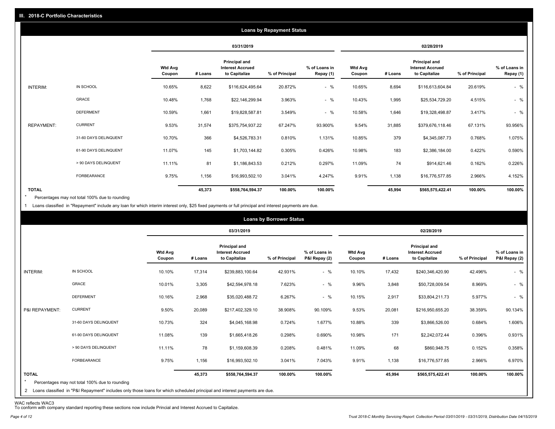|                   |                       |                          |         |                                                           | <b>Loans by Repayment Status</b> |                            |                          |         |                                                           |                |                            |
|-------------------|-----------------------|--------------------------|---------|-----------------------------------------------------------|----------------------------------|----------------------------|--------------------------|---------|-----------------------------------------------------------|----------------|----------------------------|
|                   |                       |                          |         | 03/31/2019                                                |                                  |                            |                          |         | 02/28/2019                                                |                |                            |
|                   |                       | <b>Wtd Avg</b><br>Coupon | # Loans | Principal and<br><b>Interest Accrued</b><br>to Capitalize | % of Principal                   | % of Loans in<br>Repay (1) | <b>Wtd Avg</b><br>Coupon | # Loans | Principal and<br><b>Interest Accrued</b><br>to Capitalize | % of Principal | % of Loans in<br>Repay (1) |
| INTERIM:          | IN SCHOOL             | 10.65%                   | 8,622   | \$116,624,495.64                                          | 20.872%                          | $-$ %                      | 10.65%                   | 8,694   | \$116,613,604.84                                          | 20.619%        | $-$ %                      |
|                   | GRACE                 | 10.48%                   | 1,768   | \$22,146,299.94                                           | 3.963%                           | $-$ %                      | 10.43%                   | 1,995   | \$25,534,729.20                                           | 4.515%         | $-$ %                      |
|                   | <b>DEFERMENT</b>      | 10.59%                   | 1,661   | \$19,828,587.81                                           | 3.549%                           | $-$ %                      | 10.58%                   | 1,646   | \$19,328,498.87                                           | 3.417%         | $-$ %                      |
| <b>REPAYMENT:</b> | <b>CURRENT</b>        | 9.53%                    | 31,574  | \$375,754,937.22                                          | 67.247%                          | 93.900%                    | 9.54%                    | 31,885  | \$379,676,118.46                                          | 67.131%        | 93.956%                    |
|                   | 31-60 DAYS DELINQUENT | 10.70%                   | 366     | \$4,526,783.31                                            | 0.810%                           | 1.131%                     | 10.85%                   | 379     | \$4,345,087.73                                            | 0.768%         | 1.075%                     |
|                   | 61-90 DAYS DELINQUENT | 11.07%                   | 145     | \$1,703,144.82                                            | 0.305%                           | 0.426%                     | 10.98%                   | 183     | \$2,386,184.00                                            | 0.422%         | 0.590%                     |
|                   | > 90 DAYS DELINQUENT  | 11.11%                   | 81      | \$1,186,843.53                                            | 0.212%                           | 0.297%                     | 11.09%                   | 74      | \$914,621.46                                              | 0.162%         | 0.226%                     |
|                   | FORBEARANCE           | 9.75%                    | 1,156   | \$16,993,502.10                                           | 3.041%                           | 4.247%                     | 9.91%                    | 1,138   | \$16,776,577.85                                           | 2.966%         | 4.152%                     |
| <b>TOTAL</b>      |                       |                          | 45,373  | \$558,764,594.37                                          | 100.00%                          | 100.00%                    |                          | 45,994  | \$565,575,422.41                                          | 100.00%        | 100.00%                    |

Percentages may not total 100% due to rounding \*

1 Loans classified in "Repayment" include any loan for which interim interest only, \$25 fixed payments or full principal and interest payments are due.

|                                                                           |                                                                                                                              |                          |         |                                                           | <b>Loans by Borrower Status</b> |                                |                          |         |                                                                  |                |                                |
|---------------------------------------------------------------------------|------------------------------------------------------------------------------------------------------------------------------|--------------------------|---------|-----------------------------------------------------------|---------------------------------|--------------------------------|--------------------------|---------|------------------------------------------------------------------|----------------|--------------------------------|
|                                                                           |                                                                                                                              |                          |         | 03/31/2019                                                |                                 |                                |                          |         | 02/28/2019                                                       |                |                                |
|                                                                           |                                                                                                                              | <b>Wtd Avg</b><br>Coupon | # Loans | Principal and<br><b>Interest Accrued</b><br>to Capitalize | % of Principal                  | % of Loans in<br>P&I Repay (2) | <b>Wtd Avg</b><br>Coupon | # Loans | <b>Principal and</b><br><b>Interest Accrued</b><br>to Capitalize | % of Principal | % of Loans in<br>P&I Repay (2) |
| IN SCHOOL<br>INTERIM:                                                     |                                                                                                                              | 10.10%                   | 17,314  | \$239,883,100.64                                          | 42.931%                         | $-$ %                          | 10.10%                   | 17,432  | \$240,346,420.90                                                 | 42.496%        | $-$ %                          |
| GRACE                                                                     |                                                                                                                              | 10.01%                   | 3,305   | \$42,594,978.18                                           | 7.623%                          | $-$ %                          | 9.96%                    | 3,848   | \$50,728,009.54                                                  | 8.969%         | $-$ %                          |
|                                                                           | <b>DEFERMENT</b>                                                                                                             | 10.16%                   | 2,968   | \$35,020,488.72                                           | 6.267%                          | $-$ %                          | 10.15%                   | 2,917   | \$33,804,211.73                                                  | 5.977%         | $-$ %                          |
| <b>CURRENT</b><br>P&I REPAYMENT:                                          |                                                                                                                              | 9.50%                    | 20,089  | \$217,402,329.10                                          | 38.908%                         | 90.109%                        | 9.53%                    | 20,081  | \$216,950,655.20                                                 | 38.359%        | 90.134%                        |
|                                                                           | 31-60 DAYS DELINQUENT                                                                                                        | 10.73%                   | 324     | \$4,045,168.98                                            | 0.724%                          | 1.677%                         | 10.88%                   | 339     | \$3,866,526.00                                                   | 0.684%         | 1.606%                         |
|                                                                           | 61-90 DAYS DELINQUENT                                                                                                        | 11.08%                   | 139     | \$1,665,418.26                                            | 0.298%                          | 0.690%                         | 10.98%                   | 171     | \$2,242,072.44                                                   | 0.396%         | 0.931%                         |
|                                                                           | > 90 DAYS DELINQUENT                                                                                                         | 11.11%                   | 78      | \$1,159,608.39                                            | 0.208%                          | 0.481%                         | 11.09%                   | 68      | \$860,948.75                                                     | 0.152%         | 0.358%                         |
|                                                                           | FORBEARANCE                                                                                                                  | 9.75%                    | 1,156   | \$16,993,502.10                                           | 3.041%                          | 7.043%                         | 9.91%                    | 1,138   | \$16,776,577.85                                                  | 2.966%         | 6.970%                         |
| <b>TOTAL</b><br>$\star$<br>Percentages may not total 100% due to rounding | 2 Loans classified in "P&I Repayment" includes only those loans for which scheduled principal and interest payments are due. |                          | 45,373  | \$558,764,594.37                                          | 100.00%                         | 100.00%                        |                          | 45,994  | \$565,575,422.41                                                 | 100.00%        | 100.00%                        |

WAC reflects WAC3 To conform with company standard reporting these sections now include Princial and Interest Accrued to Capitalize.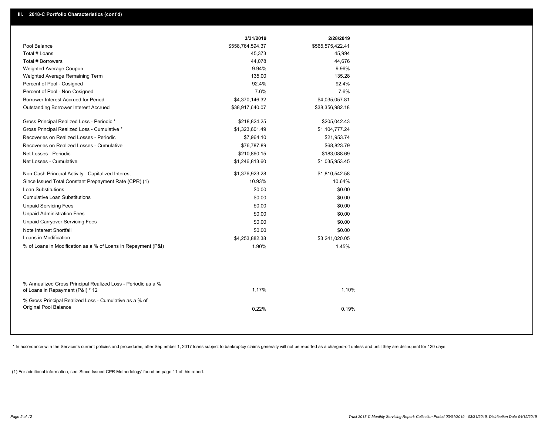|                                                                                                  | 3/31/2019        | 2/28/2019        |
|--------------------------------------------------------------------------------------------------|------------------|------------------|
| Pool Balance                                                                                     | \$558,764,594.37 | \$565,575,422.41 |
| Total # Loans                                                                                    | 45,373           | 45,994           |
| Total # Borrowers                                                                                | 44,078           | 44,676           |
| Weighted Average Coupon                                                                          | 9.94%            | 9.96%            |
| Weighted Average Remaining Term                                                                  | 135.00           | 135.28           |
| Percent of Pool - Cosigned                                                                       | 92.4%            | 92.4%            |
| Percent of Pool - Non Cosigned                                                                   | 7.6%             | 7.6%             |
| Borrower Interest Accrued for Period                                                             | \$4,370,146.32   | \$4,035,057.81   |
| <b>Outstanding Borrower Interest Accrued</b>                                                     | \$38,917,640.07  | \$38,356,982.18  |
| Gross Principal Realized Loss - Periodic *                                                       | \$218,824.25     | \$205,042.43     |
| Gross Principal Realized Loss - Cumulative *                                                     | \$1,323,601.49   | \$1,104,777.24   |
| Recoveries on Realized Losses - Periodic                                                         | \$7,964.10       | \$21,953.74      |
| Recoveries on Realized Losses - Cumulative                                                       | \$76,787.89      | \$68,823.79      |
| Net Losses - Periodic                                                                            | \$210,860.15     | \$183,088.69     |
| Net Losses - Cumulative                                                                          | \$1,246,813.60   | \$1,035,953.45   |
| Non-Cash Principal Activity - Capitalized Interest                                               | \$1,376,923.28   | \$1,810,542.58   |
| Since Issued Total Constant Prepayment Rate (CPR) (1)                                            | 10.93%           | 10.64%           |
| <b>Loan Substitutions</b>                                                                        | \$0.00           | \$0.00           |
| <b>Cumulative Loan Substitutions</b>                                                             | \$0.00           | \$0.00           |
| <b>Unpaid Servicing Fees</b>                                                                     | \$0.00           | \$0.00           |
| <b>Unpaid Administration Fees</b>                                                                | \$0.00           | \$0.00           |
| <b>Unpaid Carryover Servicing Fees</b>                                                           | \$0.00           | \$0.00           |
| Note Interest Shortfall                                                                          | \$0.00           | \$0.00           |
| Loans in Modification                                                                            | \$4,253,882.38   | \$3,241,020.05   |
| % of Loans in Modification as a % of Loans in Repayment (P&I)                                    | 1.90%            | 1.45%            |
|                                                                                                  |                  |                  |
| % Annualized Gross Principal Realized Loss - Periodic as a %<br>of Loans in Repayment (P&I) * 12 | 1.17%            | 1.10%            |
| % Gross Principal Realized Loss - Cumulative as a % of                                           |                  |                  |
| <b>Original Pool Balance</b>                                                                     | 0.22%            | 0.19%            |
|                                                                                                  |                  |                  |
|                                                                                                  |                  |                  |

\* In accordance with the Servicer's current policies and procedures, after September 1, 2017 loans subject to bankruptcy claims generally will not be reported as a charged-off unless and until they are delinquent for 120 d

(1) For additional information, see 'Since Issued CPR Methodology' found on page 11 of this report.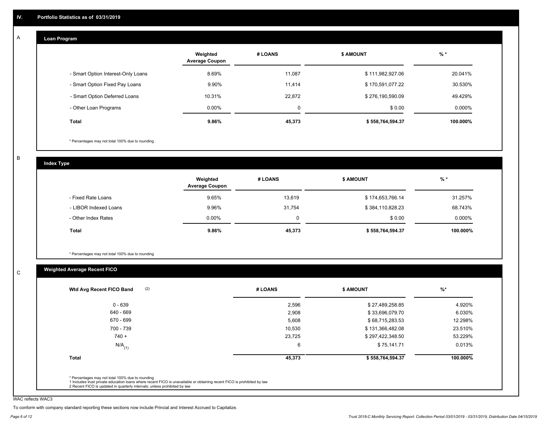#### **Loan Program**  A

|                                    | Weighted<br><b>Average Coupon</b> | # LOANS  | <b>\$ AMOUNT</b> | $%$ *     |
|------------------------------------|-----------------------------------|----------|------------------|-----------|
| - Smart Option Interest-Only Loans | 8.69%                             | 11,087   | \$111,982,927.06 | 20.041%   |
| - Smart Option Fixed Pay Loans     | 9.90%                             | 11,414   | \$170,591,077.22 | 30.530%   |
| - Smart Option Deferred Loans      | 10.31%                            | 22.872   | \$276,190,590.09 | 49.429%   |
| - Other Loan Programs              | $0.00\%$                          | $\Omega$ | \$0.00           | $0.000\%$ |
| <b>Total</b>                       | 9.86%                             | 45,373   | \$558,764,594.37 | 100.000%  |

\* Percentages may not total 100% due to rounding

B

C

**Index Type**

|                       | Weighted<br><b>Average Coupon</b> | # LOANS | <b>\$ AMOUNT</b> | $%$ *    |
|-----------------------|-----------------------------------|---------|------------------|----------|
| - Fixed Rate Loans    | 9.65%                             | 13,619  | \$174,653,766.14 | 31.257%  |
| - LIBOR Indexed Loans | 9.96%                             | 31,754  | \$384,110,828.23 | 68.743%  |
| - Other Index Rates   | $0.00\%$                          | 0       | \$0.00           | 0.000%   |
| <b>Total</b>          | 9.86%                             | 45,373  | \$558,764,594.37 | 100.000% |

\* Percentages may not total 100% due to rounding

### **Weighted Average Recent FICO**

| $0 - 639$            | 2,596  | \$27,489,258.85  |          |
|----------------------|--------|------------------|----------|
|                      |        |                  | 4.920%   |
| 640 - 669            | 2,908  | \$33,696,079.70  | 6.030%   |
| 670 - 699            | 5,608  | \$68,715,283.53  | 12.298%  |
| 700 - 739            | 10,530 | \$131,366,482.08 | 23.510%  |
| $740 +$              | 23,725 | \$297,422,348.50 | 53.229%  |
| $N/A$ <sub>(1)</sub> | 6      | \$75,141.71      | 0.013%   |
| <b>Total</b>         | 45,373 | \$558,764,594.37 | 100.000% |

WAC reflects WAC3

To conform with company standard reporting these sections now include Princial and Interest Accrued to Capitalize.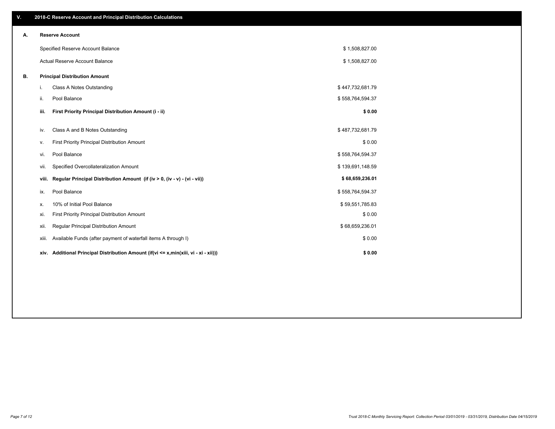| V. |       | 2018-C Reserve Account and Principal Distribution Calculations                       |                  |  |
|----|-------|--------------------------------------------------------------------------------------|------------------|--|
| Α. |       | <b>Reserve Account</b>                                                               |                  |  |
|    |       | Specified Reserve Account Balance                                                    | \$1,508,827.00   |  |
|    |       | Actual Reserve Account Balance                                                       | \$1,508,827.00   |  |
| В. |       | <b>Principal Distribution Amount</b>                                                 |                  |  |
|    | i.    | Class A Notes Outstanding                                                            | \$447,732,681.79 |  |
|    | ii.   | Pool Balance                                                                         | \$558,764,594.37 |  |
|    | iii.  | First Priority Principal Distribution Amount (i - ii)                                | \$0.00           |  |
|    | iv.   | Class A and B Notes Outstanding                                                      | \$487,732,681.79 |  |
|    | ٧.    | First Priority Principal Distribution Amount                                         | \$0.00           |  |
|    | vi.   | Pool Balance                                                                         | \$558,764,594.37 |  |
|    | Vii.  | Specified Overcollateralization Amount                                               | \$139,691,148.59 |  |
|    | viii. | Regular Principal Distribution Amount (if (iv > 0, (iv - v) - (vi - vii))            | \$68,659,236.01  |  |
|    | ix.   | Pool Balance                                                                         | \$558,764,594.37 |  |
|    | х.    | 10% of Initial Pool Balance                                                          | \$59,551,785.83  |  |
|    | xi.   | First Priority Principal Distribution Amount                                         | \$0.00           |  |
|    | xii.  | Regular Principal Distribution Amount                                                | \$68,659,236.01  |  |
|    | xiii. | Available Funds (after payment of waterfall items A through I)                       | \$0.00           |  |
|    |       | xiv. Additional Principal Distribution Amount (if(vi <= x,min(xiii, vi - xi - xii))) | \$0.00           |  |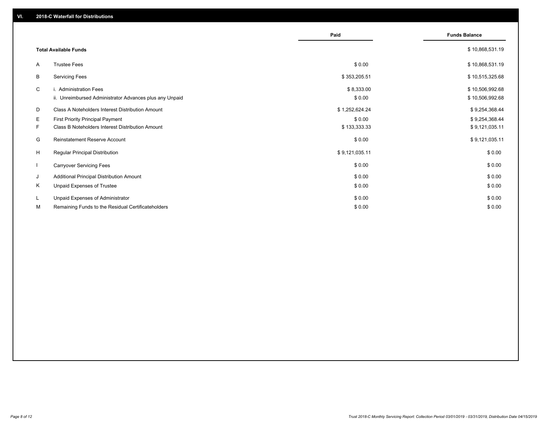|    |                                                                                   | Paid                 | <b>Funds Balance</b>               |
|----|-----------------------------------------------------------------------------------|----------------------|------------------------------------|
|    | <b>Total Available Funds</b>                                                      |                      | \$10,868,531.19                    |
| A  | <b>Trustee Fees</b>                                                               | \$0.00               | \$10,868,531.19                    |
| В  | <b>Servicing Fees</b>                                                             | \$353,205.51         | \$10,515,325.68                    |
| C  | i. Administration Fees<br>ii. Unreimbursed Administrator Advances plus any Unpaid | \$8,333.00<br>\$0.00 | \$10,506,992.68<br>\$10,506,992.68 |
| D  | <b>Class A Noteholders Interest Distribution Amount</b>                           | \$1,252,624.24       | \$9,254,368.44                     |
| Е  | First Priority Principal Payment                                                  | \$0.00               | \$9,254,368.44                     |
| F. | <b>Class B Noteholders Interest Distribution Amount</b>                           | \$133,333.33         | \$9,121,035.11                     |
| G  | <b>Reinstatement Reserve Account</b>                                              | \$0.00               | \$9,121,035.11                     |
| H  | Regular Principal Distribution                                                    | \$9,121,035.11       | \$0.00                             |
|    | <b>Carryover Servicing Fees</b>                                                   | \$0.00               | \$0.00                             |
| J  | Additional Principal Distribution Amount                                          | \$0.00               | \$0.00                             |
| Κ  | Unpaid Expenses of Trustee                                                        | \$0.00               | \$0.00                             |
| L  | Unpaid Expenses of Administrator                                                  | \$0.00               | \$0.00                             |
| М  | Remaining Funds to the Residual Certificateholders                                | \$0.00               | \$0.00                             |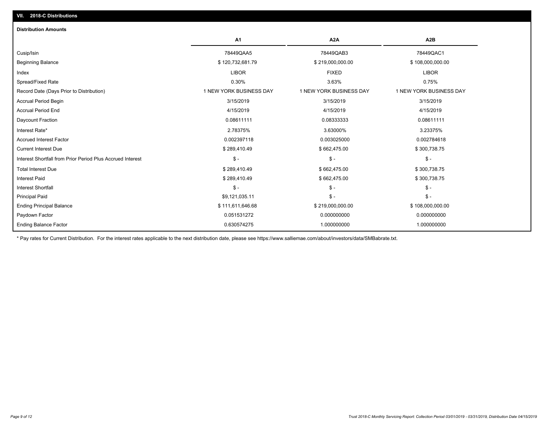| <b>Distribution Amounts</b>                                |                         |                         |                         |
|------------------------------------------------------------|-------------------------|-------------------------|-------------------------|
|                                                            | <b>A1</b>               | A <sub>2</sub> A        | A2B                     |
| Cusip/Isin                                                 | 78449QAA5               | 78449QAB3               | 78449QAC1               |
| <b>Beginning Balance</b>                                   | \$120,732,681.79        | \$219,000,000.00        | \$108,000,000.00        |
| Index                                                      | <b>LIBOR</b>            | <b>FIXED</b>            | <b>LIBOR</b>            |
| Spread/Fixed Rate                                          | 0.30%                   | 3.63%                   | 0.75%                   |
| Record Date (Days Prior to Distribution)                   | 1 NEW YORK BUSINESS DAY | 1 NEW YORK BUSINESS DAY | 1 NEW YORK BUSINESS DAY |
| <b>Accrual Period Begin</b>                                | 3/15/2019               | 3/15/2019               | 3/15/2019               |
| <b>Accrual Period End</b>                                  | 4/15/2019               | 4/15/2019               | 4/15/2019               |
| Daycount Fraction                                          | 0.08611111              | 0.08333333              | 0.08611111              |
| Interest Rate*                                             | 2.78375%                | 3.63000%                | 3.23375%                |
| <b>Accrued Interest Factor</b>                             | 0.002397118             | 0.003025000             | 0.002784618             |
| <b>Current Interest Due</b>                                | \$289,410.49            | \$662,475.00            | \$300,738.75            |
| Interest Shortfall from Prior Period Plus Accrued Interest | $\mathsf{\$}$ -         | $\mathcal{S}$ -         | $\mathcal{S}$ -         |
| <b>Total Interest Due</b>                                  | \$289,410.49            | \$662,475.00            | \$300,738.75            |
| <b>Interest Paid</b>                                       | \$289,410.49            | \$662,475.00            | \$300,738.75            |
| <b>Interest Shortfall</b>                                  | $\mathsf{\$}$ -         | $\mathsf{\$}$ -         | $\mathsf{\$}$ -         |
| <b>Principal Paid</b>                                      | \$9,121,035.11          | $\mathsf{\$}$ -         | $$ -$                   |
| <b>Ending Principal Balance</b>                            | \$111,611,646.68        | \$219,000,000.00        | \$108,000,000.00        |
| Paydown Factor                                             | 0.051531272             | 0.000000000             | 0.000000000             |
| <b>Ending Balance Factor</b>                               | 0.630574275             | 1.000000000             | 1.000000000             |

\* Pay rates for Current Distribution. For the interest rates applicable to the next distribution date, please see https://www.salliemae.com/about/investors/data/SMBabrate.txt.

**VII. 2018-C Distributions**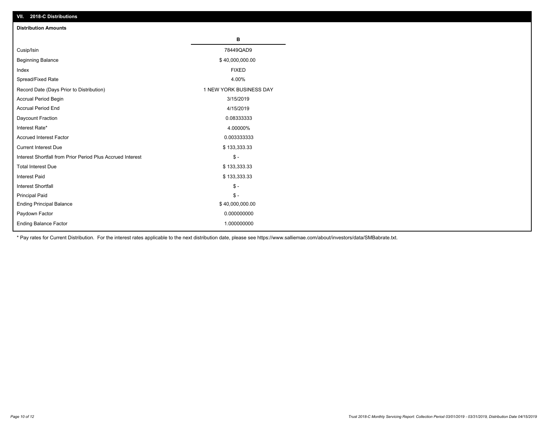| VII. 2018-C Distributions                                  |                         |
|------------------------------------------------------------|-------------------------|
| <b>Distribution Amounts</b>                                |                         |
|                                                            | в                       |
| Cusip/Isin                                                 | 78449QAD9               |
| <b>Beginning Balance</b>                                   | \$40,000,000.00         |
| Index                                                      | <b>FIXED</b>            |
| Spread/Fixed Rate                                          | 4.00%                   |
| Record Date (Days Prior to Distribution)                   | 1 NEW YORK BUSINESS DAY |
| Accrual Period Begin                                       | 3/15/2019               |
| <b>Accrual Period End</b>                                  | 4/15/2019               |
| Daycount Fraction                                          | 0.08333333              |
| Interest Rate*                                             | 4.00000%                |
| <b>Accrued Interest Factor</b>                             | 0.003333333             |
| <b>Current Interest Due</b>                                | \$133,333.33            |
| Interest Shortfall from Prior Period Plus Accrued Interest | $$ -$                   |
| <b>Total Interest Due</b>                                  | \$133,333.33            |
| Interest Paid                                              | \$133,333.33            |
| Interest Shortfall                                         | $$ -$                   |
| <b>Principal Paid</b>                                      | $$ -$                   |
| <b>Ending Principal Balance</b>                            | \$40,000,000.00         |
| Paydown Factor                                             | 0.000000000             |
| <b>Ending Balance Factor</b>                               | 1.000000000             |

\* Pay rates for Current Distribution. For the interest rates applicable to the next distribution date, please see https://www.salliemae.com/about/investors/data/SMBabrate.txt.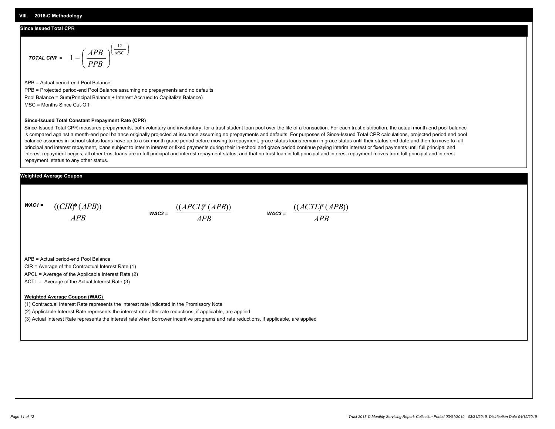#### **Since Issued Total CPR**

$$
\text{total CPR} = 1 - \left(\frac{APB}{PPB}\right)^{\left(\frac{12}{MSC}\right)}
$$

APB = Actual period-end Pool Balance PPB = Projected period-end Pool Balance assuming no prepayments and no defaults Pool Balance = Sum(Principal Balance + Interest Accrued to Capitalize Balance) MSC = Months Since Cut-Off

#### **Since-Issued Total Constant Prepayment Rate (CPR)**

Since-Issued Total CPR measures prepayments, both voluntary and involuntary, for a trust student loan pool over the life of a transaction. For each trust distribution, the actual month-end pool balance is compared against a month-end pool balance originally projected at issuance assuming no prepayments and defaults. For purposes of Since-Issued Total CPR calculations, projected period end pool balance assumes in-school status loans have up to a six month grace period before moving to repayment, grace status loans remain in grace status until their status end date and then to move to full principal and interest repayment, loans subject to interim interest or fixed payments during their in-school and grace period continue paying interim interest or fixed payments until full principal and interest repayment begins, all other trust loans are in full principal and interest repayment status, and that no trust loan in full principal and interest repayment moves from full principal and interest repayment status to any other status.

#### **Weighted Average Coupon**

*WAC1 = APB* ((*CIR*)\*(*APB*))

*WAC2 = APB* ((*APCL*)\*(*APB*)) *WAC3 = APB*

((*ACTL*)\*(*APB*))

APB = Actual period-end Pool Balance

CIR = Average of the Contractual Interest Rate (1)

APCL = Average of the Applicable Interest Rate (2)

ACTL = Average of the Actual Interest Rate (3)

#### **Weighted Average Coupon (WAC)**

(1) Contractual Interest Rate represents the interest rate indicated in the Promissory Note

(2) Appliclable Interest Rate represents the interest rate after rate reductions, if applicable, are applied

(3) Actual Interest Rate represents the interest rate when borrower incentive programs and rate reductions, if applicable, are applied